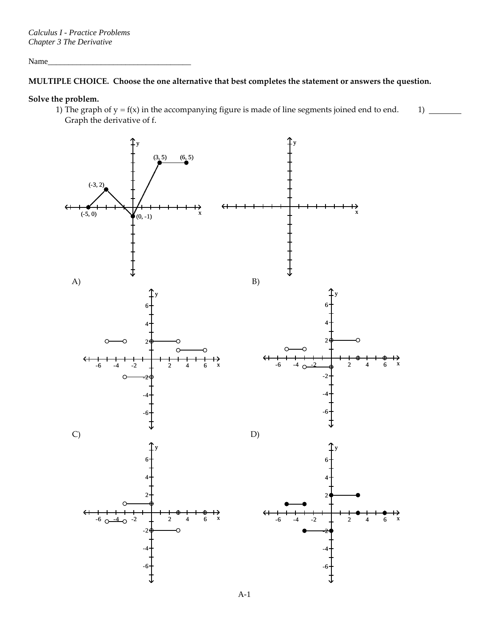Name\_\_\_\_\_\_\_\_\_\_\_\_\_\_\_\_\_\_\_\_\_\_\_\_\_\_\_\_\_\_\_\_\_\_\_

## **MULTIPLE CHOICE. Choose the one alternative that best completes the statement or answers the question.**

## **Solve the problem.**

1) The graph of  $y = f(x)$  in the accompanying figure is made of line segments joined end to end. Graph the derivative of f.  $1)$   $-$ 

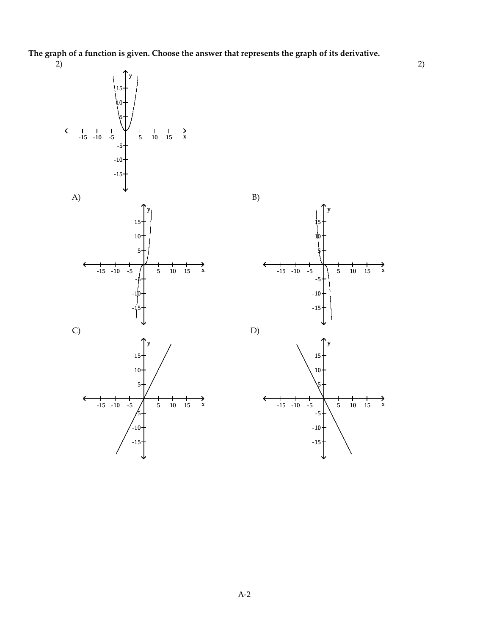**The graph of a function is given. Choose the answer that represents the graph of its derivative.**

2)

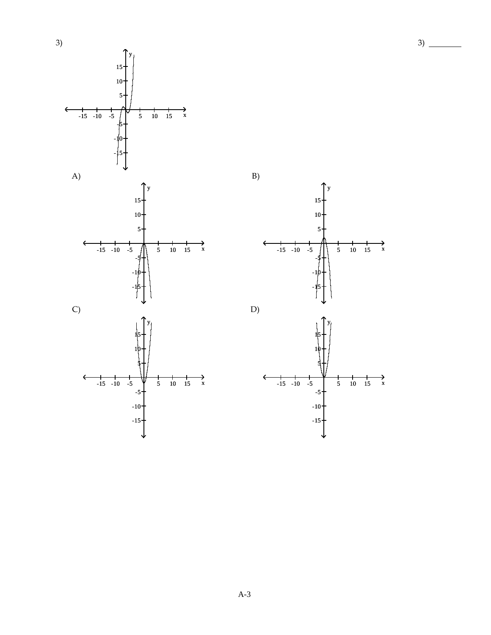

 $10$ 5  $\rightarrow$ <sub>x</sub>  $-15 - 10 - 5$  $rac{1}{5}$  $\begin{array}{cc} 10 & 15 \end{array}$  $D)$  $\rightarrow$ <sub>x</sub>  $-15 - 10 - 5$  $\frac{1}{5}$  10 15  $-5+$  $-10$  $-15$ 

 $B)$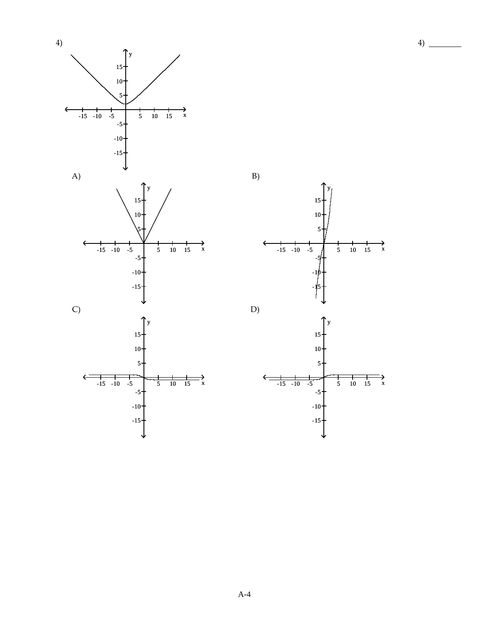



 $B)$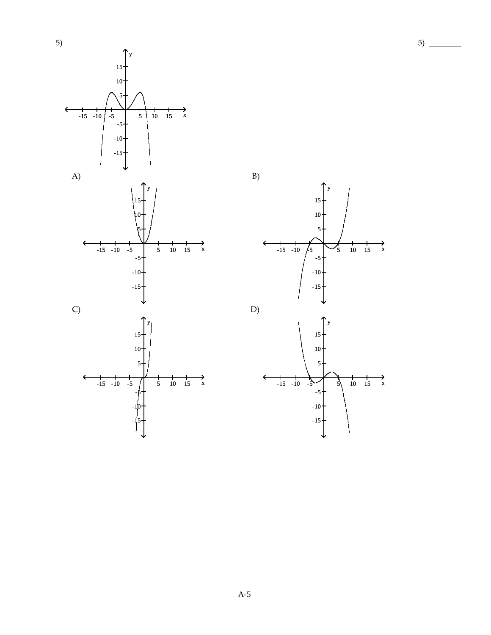

 $B)$ 



 $5)$